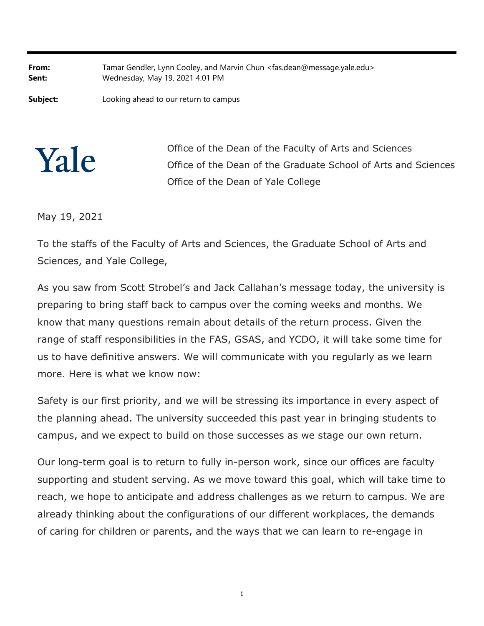**From:** Tamar Gendler, Lynn Cooley, and Marvin Chun <fas.dean@message.yale.edu> **Sent:** Wednesday, May 19, 2021 4:01 PM

**Subject:** Looking ahead to our return to campus

Yale

Office of the Dean of the Faculty of Arts and Sciences Office of the Dean of the Graduate School of Arts and Sciences Office of the Dean of Yale College

May 19, 2021

To the staffs of the Faculty of Arts and Sciences, the Graduate School of Arts and Sciences, and Yale College,

As you saw from Scott Strobel's and Jack Callahan's message today, the university is preparing to bring staff back to campus over the coming weeks and months. We know that many questions remain about details of the return process. Given the range of staff responsibilities in the FAS, GSAS, and YCDO, it will take some time for us to have definitive answers. We will communicate with you regularly as we learn more. Here is what we know now:

Safety is our first priority, and we will be stressing its importance in every aspect of the planning ahead. The university succeeded this past year in bringing students to campus, and we expect to build on those successes as we stage our own return.

Our long-term goal is to return to fully in-person work, since our offices are faculty supporting and student serving. As we move toward this goal, which will take time to reach, we hope to anticipate and address challenges as we return to campus. We are already thinking about the configurations of our different workplaces, the demands of caring for children or parents, and the ways that we can learn to re-engage in

1